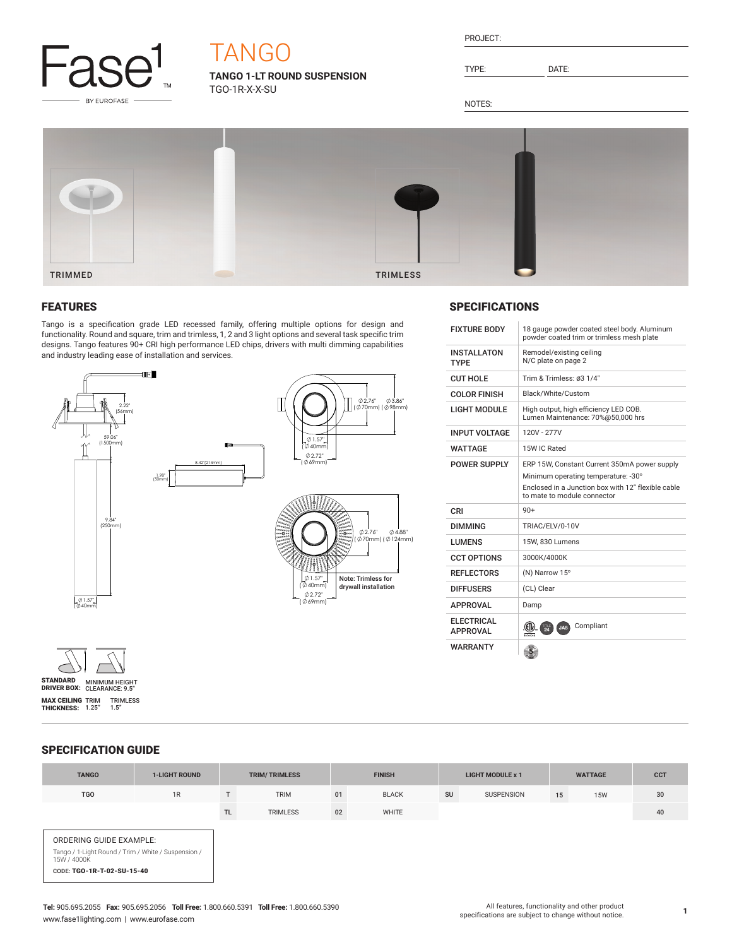

# TANGO

**TANGO 1-LT ROUND SUSPENSION** TGO-1R-X-X-SU

| RN. | IF ( |  |
|-----|------|--|
|     |      |  |
|     |      |  |

TYPE: DATE:

NOTES:



## FEATURES

Tango is a specification grade LED recessed family, offering multiple options for design and functionality. Round and square, trim and trimless, 1, 2 and 3 light options and several task specific trim designs. Tango features 90+ CRI high performance LED chips, drivers with multi dimming capabilities and industry leading ease of installation and services.





## WATTAGE 15W IC Rated POWER SUPPLY ERP 15W, Constant Current 350mA power supply Minimum operating temperature: -30° Enclosed in a Junction box with 12" flexible cable to mate to module connector CRI 90+ DIMMING | TRIAC/ELV/0-10V

INPUT VOLTAGE | 120V - 277V

SPECIFICATIONS

INSTALLATON TYPE

| CRI                           | $90+$                                                   |
|-------------------------------|---------------------------------------------------------|
| <b>DIMMING</b>                | TRIAC/ELV/0-10V                                         |
| <b>LUMENS</b>                 | 15W, 830 Lumens                                         |
| <b>CCT OPTIONS</b>            | 3000K/4000K                                             |
| <b>REFLECTORS</b>             | (N) Narrow 15°                                          |
| <b>DIFFUSERS</b>              | (CL) Clear                                              |
| <b>APPROVAL</b>               | Damp                                                    |
| <b>ELECTRICAL</b><br>APPROVAL | Compliant<br>$\frac{1}{24}$<br>(EIV)<br>JA8<br>Intertek |
| <b>WARRANTY</b>               |                                                         |

FIXTURE BODY 18 gauge powder coated steel body. Aluminum powder coated trim or trimless mesh plate

Remodel/existing ceiling N/C plate on page 2

LIGHT MODULE High output, high efficiency LED COB. Lumen Maintenance: 70%@50,000 hrs

CUT HOLE Trim & Trimless: ø3 1/4" COLOR FINISH Black/White/Custom

### SPECIFICATION GUIDE

| <b>TANGO</b>                                                                                                                | <b>1-LIGHT ROUND</b> |           | <b>TRIM/TRIMLESS</b> |    | <b>FINISH</b> |    | <b>LIGHT MODULE x 1</b> |    | <b>WATTAGE</b> | <b>CCT</b> |
|-----------------------------------------------------------------------------------------------------------------------------|----------------------|-----------|----------------------|----|---------------|----|-------------------------|----|----------------|------------|
| <b>TGO</b>                                                                                                                  | 1R                   |           | <b>TRIM</b>          | 01 | <b>BLACK</b>  | SU | <b>SUSPENSION</b>       | 15 | <b>15W</b>     | 30         |
|                                                                                                                             |                      | <b>TL</b> | <b>TRIMLESS</b>      | 02 | <b>WHITE</b>  |    |                         |    |                | 40         |
| ORDERING GUIDE EXAMPLE:<br>Tango / 1-Light Round / Trim / White / Suspension /<br>15W / 4000K<br>CODE: TGO-1R-T-02-SU-15-40 |                      |           |                      |    |               |    |                         |    |                |            |